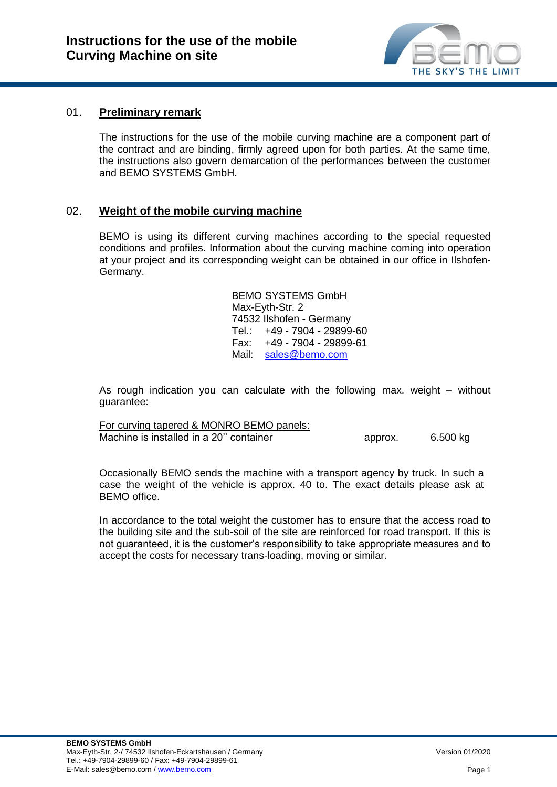

# 01. **Preliminary remark**

The instructions for the use of the mobile curving machine are a component part of the contract and are binding, firmly agreed upon for both parties. At the same time, the instructions also govern demarcation of the performances between the customer and BEMO SYSTEMS GmbH.

# 02. **Weight of the mobile curving machine**

BEMO is using its different curving machines according to the special requested conditions and profiles. Information about the curving machine coming into operation at your project and its corresponding weight can be obtained in our office in Ilshofen-Germany.

> BEMO SYSTEMS GmbH Max-Eyth-Str. 2 74532 Ilshofen - Germany Tel.: +49 - 7904 - 29899-60 Fax: +49 - 7904 - 29899-61 Mail: [sales@bemo.com](mailto:sales@bemo.com)

As rough indication you can calculate with the following max. weight – without guarantee:

| For curving tapered & MONRO BEMO panels: |         |          |
|------------------------------------------|---------|----------|
| Machine is installed in a 20" container  | approx. | 6.500 kg |

Occasionally BEMO sends the machine with a transport agency by truck. In such a case the weight of the vehicle is approx. 40 to. The exact details please ask at BEMO office.

In accordance to the total weight the customer has to ensure that the access road to the building site and the sub-soil of the site are reinforced for road transport. If this is not guaranteed, it is the customer's responsibility to take appropriate measures and to accept the costs for necessary trans-loading, moving or similar.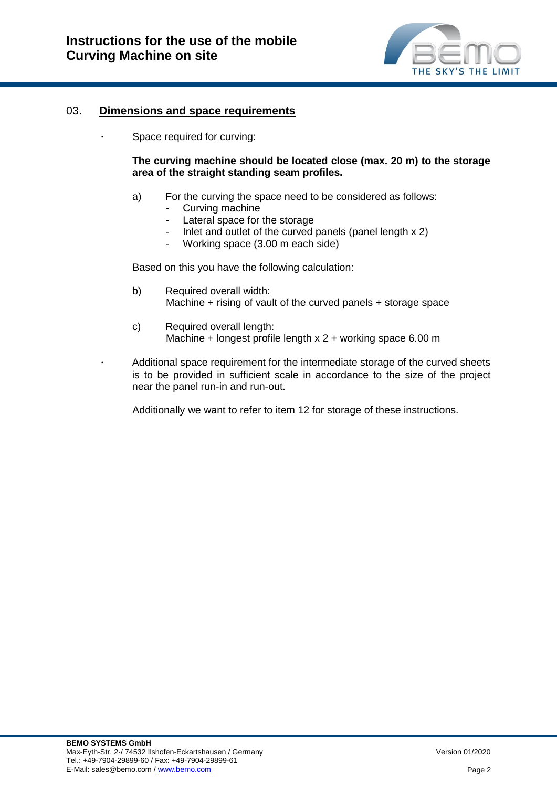

### 03. **Dimensions and space requirements**

∙ Space required for curving:

#### **The curving machine should be located close (max. 20 m) to the storage area of the straight standing seam profiles.**

- a) For the curving the space need to be considered as follows:
	- Curving machine
	- Lateral space for the storage
	- Inlet and outlet of the curved panels (panel length  $x 2$ )
	- Working space (3.00 m each side)

Based on this you have the following calculation:

- b) Required overall width: Machine + rising of vault of the curved panels + storage space
- c) Required overall length: Machine + longest profile length x 2 + working space 6.00 m

∙ Additional space requirement for the intermediate storage of the curved sheets is to be provided in sufficient scale in accordance to the size of the project near the panel run-in and run-out.

Additionally we want to refer to item 12 for storage of these instructions.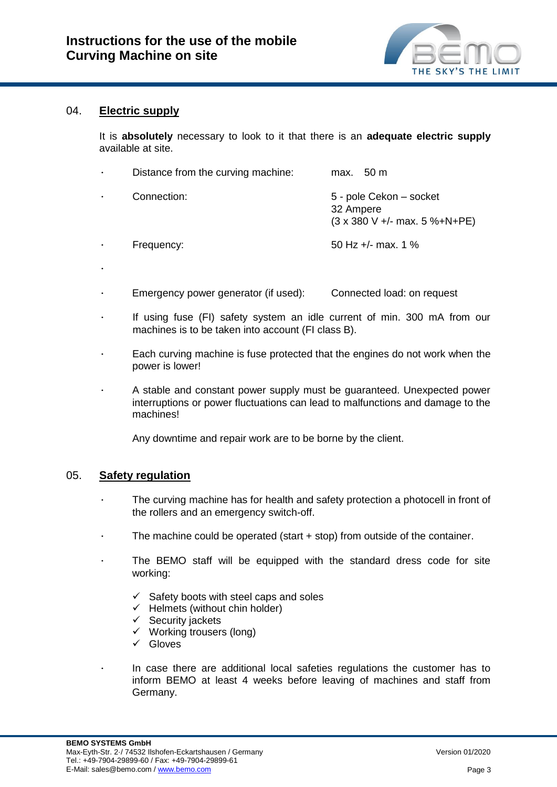

# 04. **Electric supply**

It is **absolutely** necessary to look to it that there is an **adequate electric supply** available at site.

| $\bullet$ | Distance from the curving machine: | max. $50 \text{ m}$                                                                   |
|-----------|------------------------------------|---------------------------------------------------------------------------------------|
|           | Connection:                        | 5 - pole Cekon – socket<br>32 Ampere<br>$(3 \times 380 \text{ V} +$ /- max. 5 %+N+PE) |
|           | Frequency:                         | 50 Hz $+/-$ max, 1 %                                                                  |
| ٠         |                                    |                                                                                       |

- ∙ Emergency power generator (if used): Connected load: on request
- If using fuse (FI) safety system an idle current of min. 300 mA from our machines is to be taken into account (FI class B).
- ∙ Each curving machine is fuse protected that the engines do not work when the power is lower!
- ∙ A stable and constant power supply must be guaranteed. Unexpected power interruptions or power fluctuations can lead to malfunctions and damage to the machines!

Any downtime and repair work are to be borne by the client.

#### 05. **Safety regulation**

- The curving machine has for health and safety protection a photocell in front of the rollers and an emergency switch-off.
- ∙ The machine could be operated (start + stop) from outside of the container.
- The BEMO staff will be equipped with the standard dress code for site working:
	- $\checkmark$  Safety boots with steel caps and soles
	- $\checkmark$  Helmets (without chin holder)
	- $\checkmark$  Security jackets
	- $\checkmark$  Working trousers (long)
	- $\checkmark$  Gloves
	- ∙ In case there are additional local safeties regulations the customer has to inform BEMO at least 4 weeks before leaving of machines and staff from Germany.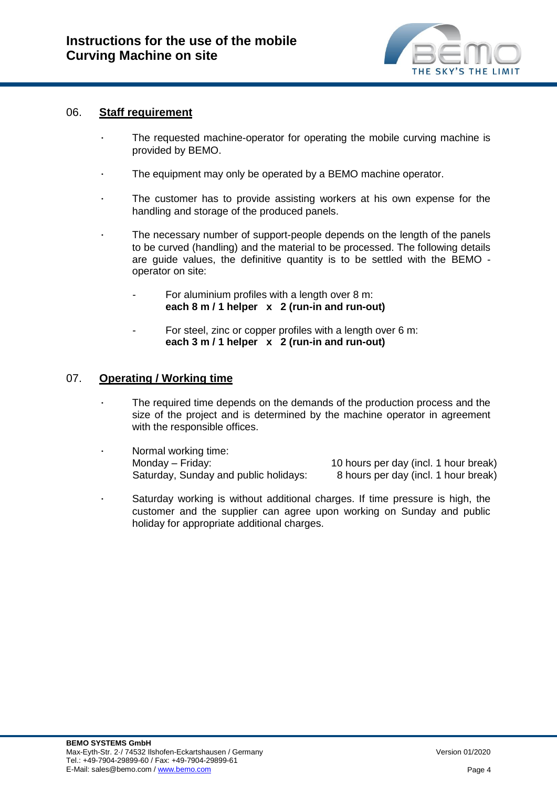

#### 06. **Staff requirement**

- The requested machine-operator for operating the mobile curving machine is provided by BEMO.
- The equipment may only be operated by a BEMO machine operator.
- The customer has to provide assisting workers at his own expense for the handling and storage of the produced panels.
- The necessary number of support-people depends on the length of the panels to be curved (handling) and the material to be processed. The following details are guide values, the definitive quantity is to be settled with the BEMO operator on site:
	- For aluminium profiles with a length over 8 m: **each 8 m / 1 helper x 2 (run-in and run-out)**
	- For steel, zinc or copper profiles with a length over 6 m: **each 3 m / 1 helper x 2 (run-in and run-out)**

#### 07. **Operating / Working time**

- The required time depends on the demands of the production process and the size of the project and is determined by the machine operator in agreement with the responsible offices.
- ∙ Normal working time: Monday – Friday: 10 hours per day (incl. 1 hour break) Saturday, Sunday and public holidays: 8 hours per day (incl. 1 hour break)
- ∙ Saturday working is without additional charges. If time pressure is high, the customer and the supplier can agree upon working on Sunday and public holiday for appropriate additional charges.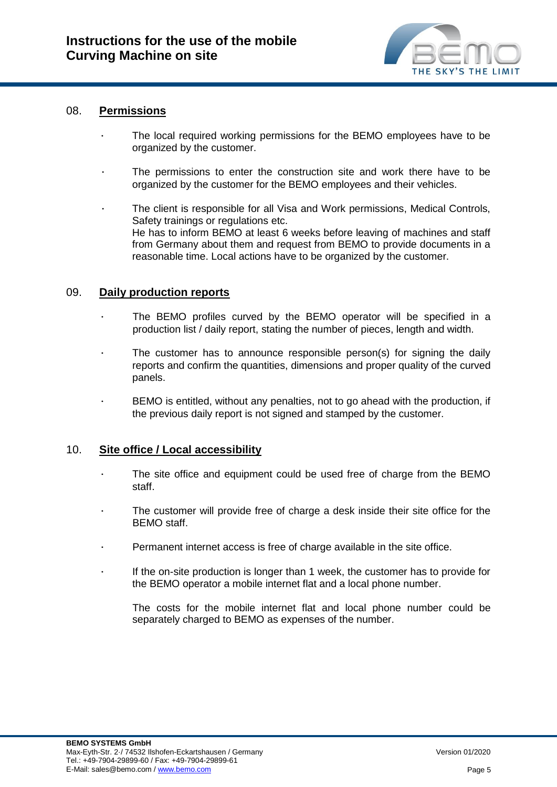

### 08. **Permissions**

- The local required working permissions for the BEMO employees have to be organized by the customer.
- The permissions to enter the construction site and work there have to be organized by the customer for the BEMO employees and their vehicles.
- The client is responsible for all Visa and Work permissions, Medical Controls, Safety trainings or regulations etc. He has to inform BEMO at least 6 weeks before leaving of machines and staff from Germany about them and request from BEMO to provide documents in a reasonable time. Local actions have to be organized by the customer.

# 09. **Daily production reports**

- The BEMO profiles curved by the BEMO operator will be specified in a production list / daily report, stating the number of pieces, length and width.
- The customer has to announce responsible person(s) for signing the daily reports and confirm the quantities, dimensions and proper quality of the curved panels.
- ∙ BEMO is entitled, without any penalties, not to go ahead with the production, if the previous daily report is not signed and stamped by the customer.

#### 10. **Site office / Local accessibility**

- The site office and equipment could be used free of charge from the BEMO staff.
- The customer will provide free of charge a desk inside their site office for the BEMO staff.
- ∙ Permanent internet access is free of charge available in the site office.
- ∙ If the on-site production is longer than 1 week, the customer has to provide for the BEMO operator a mobile internet flat and a local phone number.

The costs for the mobile internet flat and local phone number could be separately charged to BEMO as expenses of the number.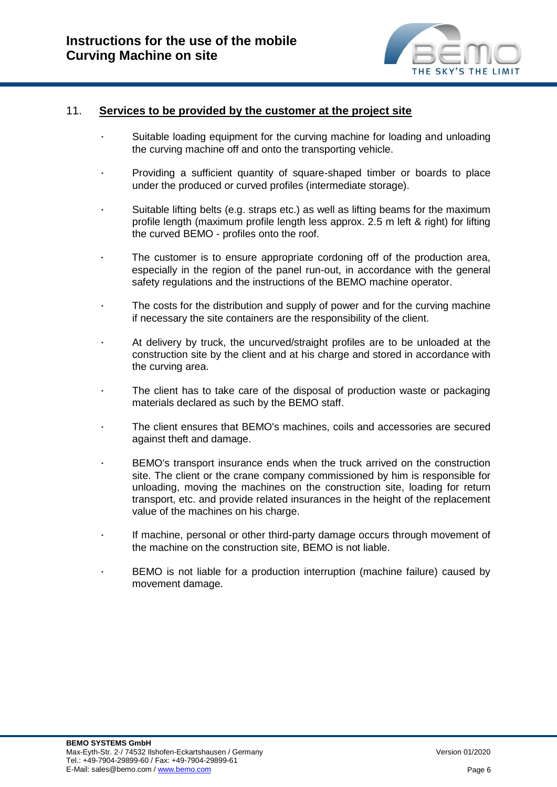

#### 11. **Services to be provided by the customer at the project site**

- ∙ Suitable loading equipment for the curving machine for loading and unloading the curving machine off and onto the transporting vehicle.
- ∙ Providing a sufficient quantity of square-shaped timber or boards to place under the produced or curved profiles (intermediate storage).
- ∙ Suitable lifting belts (e.g. straps etc.) as well as lifting beams for the maximum profile length (maximum profile length less approx. 2.5 m left & right) for lifting the curved BEMO - profiles onto the roof.
- The customer is to ensure appropriate cordoning off of the production area, especially in the region of the panel run-out, in accordance with the general safety regulations and the instructions of the BEMO machine operator.
- The costs for the distribution and supply of power and for the curving machine if necessary the site containers are the responsibility of the client.
- ∙ At delivery by truck, the uncurved/straight profiles are to be unloaded at the construction site by the client and at his charge and stored in accordance with the curving area.
- The client has to take care of the disposal of production waste or packaging materials declared as such by the BEMO staff.
- ∙ The client ensures that BEMO's machines, coils and accessories are secured against theft and damage.
- ∙ BEMO's transport insurance ends when the truck arrived on the construction site. The client or the crane company commissioned by him is responsible for unloading, moving the machines on the construction site, loading for return transport, etc. and provide related insurances in the height of the replacement value of the machines on his charge.
- ∙ If machine, personal or other third-party damage occurs through movement of the machine on the construction site, BEMO is not liable.
- ∙ BEMO is not liable for a production interruption (machine failure) caused by movement damage.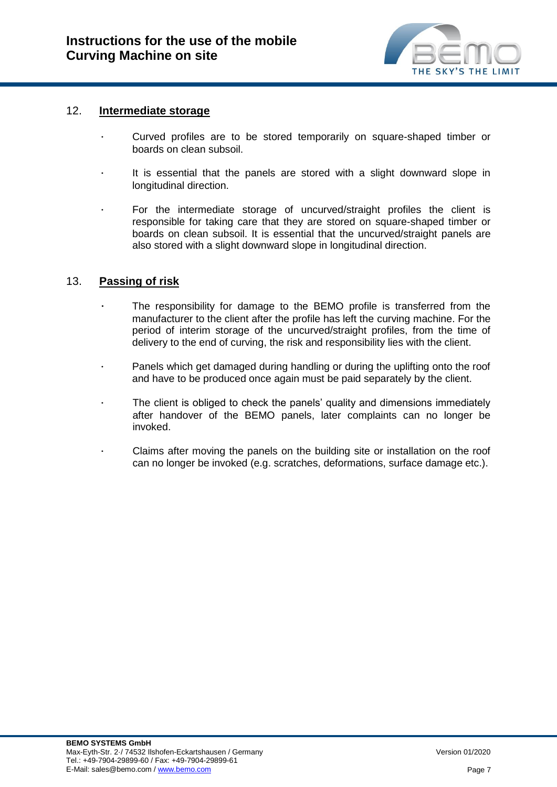

#### 12. **Intermediate storage**

- ∙ Curved profiles are to be stored temporarily on square-shaped timber or boards on clean subsoil.
- ∙ It is essential that the panels are stored with a slight downward slope in longitudinal direction.
- For the intermediate storage of uncurved/straight profiles the client is responsible for taking care that they are stored on square-shaped timber or boards on clean subsoil. It is essential that the uncurved/straight panels are also stored with a slight downward slope in longitudinal direction.

# 13. **Passing of risk**

- The responsibility for damage to the BEMO profile is transferred from the manufacturer to the client after the profile has left the curving machine. For the period of interim storage of the uncurved/straight profiles, from the time of delivery to the end of curving, the risk and responsibility lies with the client.
- Panels which get damaged during handling or during the uplifting onto the roof and have to be produced once again must be paid separately by the client.
- The client is obliged to check the panels' quality and dimensions immediately after handover of the BEMO panels, later complaints can no longer be invoked.
- ∙ Claims after moving the panels on the building site or installation on the roof can no longer be invoked (e.g. scratches, deformations, surface damage etc.).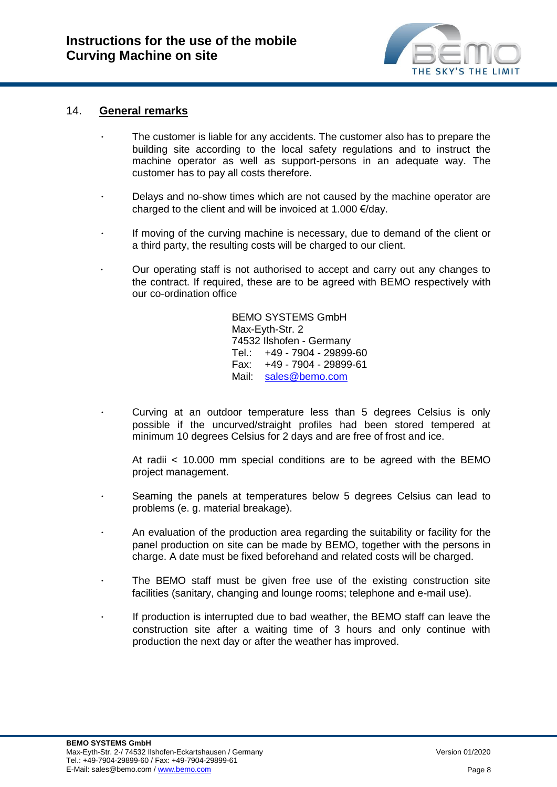

### 14. **General remarks**

- The customer is liable for any accidents. The customer also has to prepare the building site according to the local safety regulations and to instruct the machine operator as well as support-persons in an adequate way. The customer has to pay all costs therefore.
- ∙ Delays and no-show times which are not caused by the machine operator are charged to the client and will be invoiced at 1.000 €/day.
- ∙ If moving of the curving machine is necessary, due to demand of the client or a third party, the resulting costs will be charged to our client.
- ∙ Our operating staff is not authorised to accept and carry out any changes to the contract. If required, these are to be agreed with BEMO respectively with our co-ordination office

BEMO SYSTEMS GmbH Max-Eyth-Str. 2 74532 Ilshofen - Germany Tel.: +49 - 7904 - 29899-60 Fax: +49 - 7904 - 29899-61 Mail: [sales@bemo.com](mailto:sales@bemo.com)

∙ Curving at an outdoor temperature less than 5 degrees Celsius is only possible if the uncurved/straight profiles had been stored tempered at minimum 10 degrees Celsius for 2 days and are free of frost and ice.

At radii < 10.000 mm special conditions are to be agreed with the BEMO project management.

- ∙ Seaming the panels at temperatures below 5 degrees Celsius can lead to problems (e. g. material breakage).
- ∙ An evaluation of the production area regarding the suitability or facility for the panel production on site can be made by BEMO, together with the persons in charge. A date must be fixed beforehand and related costs will be charged.
- The BEMO staff must be given free use of the existing construction site facilities (sanitary, changing and lounge rooms; telephone and e-mail use).
- ∙ If production is interrupted due to bad weather, the BEMO staff can leave the construction site after a waiting time of 3 hours and only continue with production the next day or after the weather has improved.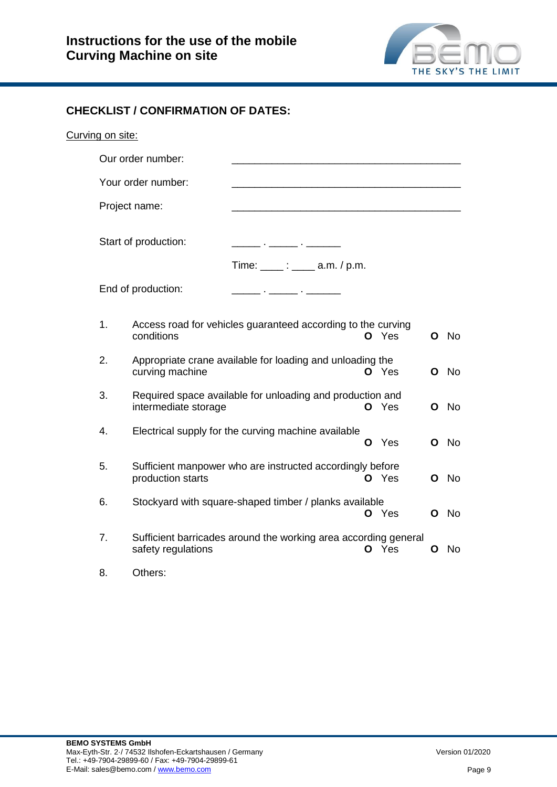

# **CHECKLIST / CONFIRMATION OF DATES:**

| Curving on site: |               |                      |                                                                 |   |       |   |           |
|------------------|---------------|----------------------|-----------------------------------------------------------------|---|-------|---|-----------|
|                  |               | Our order number:    |                                                                 |   |       |   |           |
|                  |               | Your order number:   |                                                                 |   |       |   |           |
|                  | Project name: |                      |                                                                 |   |       |   |           |
|                  |               | Start of production: |                                                                 |   |       |   |           |
|                  |               |                      | Time: $\frac{1}{2}$ : $\frac{1}{2}$ a.m. / p.m.                 |   |       |   |           |
|                  |               | End of production:   | <u> 2002 - Jan Barnett, film ann an t-</u>                      |   |       |   |           |
|                  | 1.            | conditions           | Access road for vehicles guaranteed according to the curving    |   | O Yes | O | No        |
|                  | 2.            | curving machine      | Appropriate crane available for loading and unloading the       |   | O Yes | Ο | No        |
|                  | 3.            | intermediate storage | Required space available for unloading and production and       |   | O Yes | O | <b>No</b> |
|                  | 4.            |                      | Electrical supply for the curving machine available             | O | Yes   | O | <b>No</b> |
|                  | 5.            | production starts    | Sufficient manpower who are instructed accordingly before       |   | O Yes | O | - No      |
|                  | 6.            |                      | Stockyard with square-shaped timber / planks available          |   | O Yes | O | No        |
|                  | 7.            | safety regulations   | Sufficient barricades around the working area according general |   | O Yes | O | No.       |
|                  | 8.            | Others:              |                                                                 |   |       |   |           |